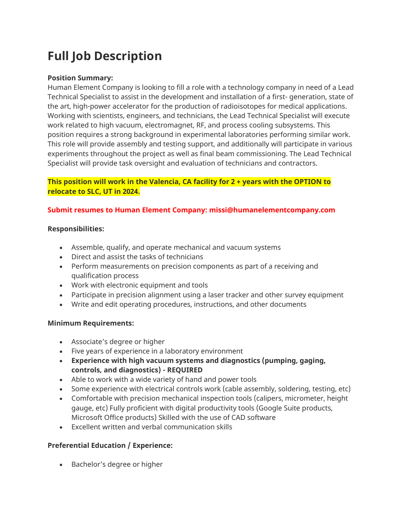# **Full Job Description**

## **Position Summary:**

Human Element Company is looking to fill a role with a technology company in need of a Lead Technical Specialist to assist in the development and installation of a first- generation, state of the art, high-power accelerator for the production of radioisotopes for medical applications. Working with scientists, engineers, and technicians, the Lead Technical Specialist will execute work related to high vacuum, electromagnet, RF, and process cooling subsystems. This position requires a strong background in experimental laboratories performing similar work. This role will provide assembly and testing support, and additionally will participate in various experiments throughout the project as well as final beam commissioning. The Lead Technical Specialist will provide task oversight and evaluation of technicians and contractors.

## **This position will work in the Valencia, CA facility for 2 + years with the OPTION to relocate to SLC, UT in 2024.**

## **Submit resumes to Human Element Company: missi@humanelementcompany.com**

## **Responsibilities:**

- Assemble, qualify, and operate mechanical and vacuum systems
- Direct and assist the tasks of technicians
- Perform measurements on precision components as part of a receiving and qualification process
- Work with electronic equipment and tools
- Participate in precision alignment using a laser tracker and other survey equipment
- Write and edit operating procedures, instructions, and other documents

## **Minimum Requirements:**

- Associate's degree or higher
- Five years of experience in a laboratory environment
- **Experience with high vacuum systems and diagnostics (pumping, gaging, controls, and diagnostics) - REQUIRED**
- Able to work with a wide variety of hand and power tools
- Some experience with electrical controls work (cable assembly, soldering, testing, etc)
- Comfortable with precision mechanical inspection tools (calipers, micrometer, height gauge, etc) Fully proficient with digital productivity tools (Google Suite products, Microsoft Office products) Skilled with the use of CAD software
- Excellent written and verbal communication skills

## **Preferential Education / Experience:**

• Bachelor's degree or higher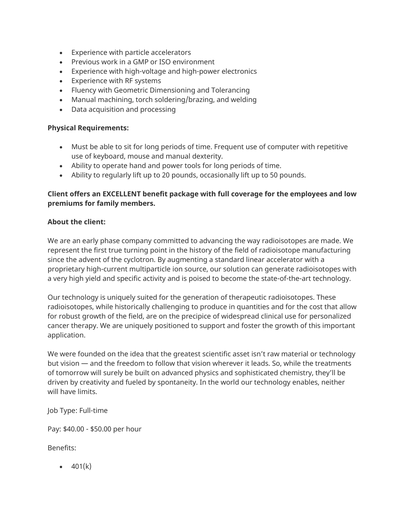- Experience with particle accelerators
- Previous work in a GMP or ISO environment
- Experience with high-voltage and high-power electronics
- Experience with RF systems
- Fluency with Geometric Dimensioning and Tolerancing
- Manual machining, torch soldering/brazing, and welding
- Data acquisition and processing

#### **Physical Requirements:**

- Must be able to sit for long periods of time. Frequent use of computer with repetitive use of keyboard, mouse and manual dexterity.
- Ability to operate hand and power tools for long periods of time.
- Ability to regularly lift up to 20 pounds, occasionally lift up to 50 pounds.

## **Client offers an EXCELLENT benefit package with full coverage for the employees and low premiums for family members.**

## **About the client:**

We are an early phase company committed to advancing the way radioisotopes are made. We represent the first true turning point in the history of the field of radioisotope manufacturing since the advent of the cyclotron. By augmenting a standard linear accelerator with a proprietary high-current multiparticle ion source, our solution can generate radioisotopes with a very high yield and specific activity and is poised to become the state-of-the-art technology.

Our technology is uniquely suited for the generation of therapeutic radioisotopes. These radioisotopes, while historically challenging to produce in quantities and for the cost that allow for robust growth of the field, are on the precipice of widespread clinical use for personalized cancer therapy. We are uniquely positioned to support and foster the growth of this important application.

We were founded on the idea that the greatest scientific asset isn't raw material or technology but vision — and the freedom to follow that vision wherever it leads. So, while the treatments of tomorrow will surely be built on advanced physics and sophisticated chemistry, they'll be driven by creativity and fueled by spontaneity. In the world our technology enables, neither will have limits.

Job Type: Full-time

Pay: \$40.00 - \$50.00 per hour

Benefits:

 $-401(k)$